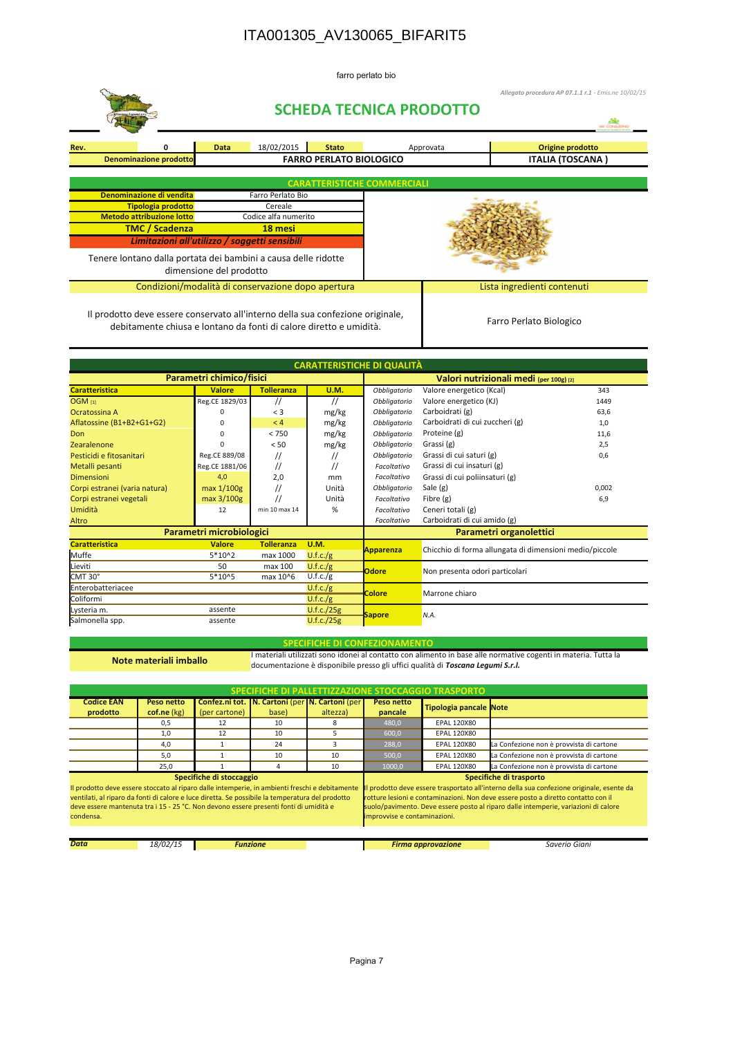## ITA001305\_AV130065\_BIFARIT5

farro perlato bio

|                                                        |                                                                                                                                                      |                         |                                                    |                                    |  | Allegato procedura AP 07.1.1 r.1 - Emis.ne 10/02/15<br><b>SCHEDA TECNICA PRODOTTO</b> |                         |  |  |
|--------------------------------------------------------|------------------------------------------------------------------------------------------------------------------------------------------------------|-------------------------|----------------------------------------------------|------------------------------------|--|---------------------------------------------------------------------------------------|-------------------------|--|--|
| Rev.                                                   |                                                                                                                                                      | <b>Data</b>             | 18/02/2015                                         | <b>Stato</b>                       |  | Approvata                                                                             | Origine prodotto        |  |  |
|                                                        | <b>FARRO PERLATO BIOLOGICO</b><br>Denominazione prodotto                                                                                             |                         |                                                    |                                    |  |                                                                                       | <b>ITALIA (TOSCANA)</b> |  |  |
|                                                        |                                                                                                                                                      |                         |                                                    | <b>CARATTERISTICHE COMMERCIALI</b> |  |                                                                                       |                         |  |  |
|                                                        | Denominazione di vendita                                                                                                                             |                         | Farro Perlato Bio<br>Cereale                       |                                    |  |                                                                                       |                         |  |  |
| Tipologia prodotto<br><b>Metodo attribuzione lotto</b> |                                                                                                                                                      |                         | Codice alfa numerito                               |                                    |  |                                                                                       |                         |  |  |
| <b>TMC / Scadenza</b>                                  |                                                                                                                                                      |                         | 18 mesi                                            |                                    |  |                                                                                       |                         |  |  |
|                                                        | Limitazioni all'utilizzo / soggetti sensibili                                                                                                        |                         |                                                    |                                    |  |                                                                                       |                         |  |  |
|                                                        | Tenere lontano dalla portata dei bambini a causa delle ridotte                                                                                       | dimensione del prodotto |                                                    |                                    |  |                                                                                       |                         |  |  |
|                                                        |                                                                                                                                                      |                         | Condizioni/modalità di conservazione dopo apertura |                                    |  | Lista ingredienti contenuti                                                           |                         |  |  |
|                                                        | Il prodotto deve essere conservato all'interno della sua confezione originale,<br>debitamente chiusa e lontano da fonti di calore diretto e umidità. |                         |                                                    |                                    |  | Farro Perlato Biologico                                                               |                         |  |  |

| <b>CARATTERISTICHE DI QUALITÀ</b>                                          |                          |                   |                                         |                                                         |                                 |       |  |  |  |
|----------------------------------------------------------------------------|--------------------------|-------------------|-----------------------------------------|---------------------------------------------------------|---------------------------------|-------|--|--|--|
|                                                                            | Parametri chimico/fisici |                   | Valori nutrizionali medi (per 100g) [2] |                                                         |                                 |       |  |  |  |
| <b>Caratteristica</b>                                                      | <b>Valore</b>            | <b>Tolleranza</b> | <b>U.M.</b>                             | Obbligatorio<br>Valore energetico (Kcal)                |                                 | 343   |  |  |  |
| OGM <sub>[1]</sub>                                                         | Reg.CE 1829/03           | $^{\prime\prime}$ | $^{\prime\prime}$                       | Obbligatorio                                            | Valore energetico (KJ)          | 1449  |  |  |  |
| Ocratossina A                                                              | O                        | $<$ 3             | mg/kg                                   | Obbligatorio                                            | Carboidrati (g)                 | 63,6  |  |  |  |
| Aflatossine (B1+B2+G1+G2)                                                  | $\Omega$                 | < 4               | mg/kg                                   | Obbligatorio                                            | Carboidrati di cui zuccheri (g) | 1,0   |  |  |  |
| Don                                                                        | $\Omega$                 | < 750             | mg/kg                                   | Obbligatorio                                            | Proteine (g)                    | 11,6  |  |  |  |
| Zearalenone                                                                |                          | < 50              | mg/kg                                   | Obbligatorio                                            | Grassi (g)<br>2,5               |       |  |  |  |
| Pesticidi e fitosanitari                                                   | Reg.CE 889/08            | $^{\prime\prime}$ | //                                      | Obbligatorio                                            | Grassi di cui saturi (g)<br>0,6 |       |  |  |  |
| Metalli pesanti                                                            | Reg.CE 1881/06           | $^{\prime\prime}$ | //                                      | Facoltativo                                             | Grassi di cui insaturi (g)      |       |  |  |  |
| Dimensioni                                                                 | 4,0                      | 2,0               | mm                                      | Facoltativo                                             | Grassi di cui poliinsaturi (g)  |       |  |  |  |
| Corpi estranei (varia natura)                                              | max 1/100g               |                   | Unità                                   | Obbligatorio                                            | Sale (g)                        | 0,002 |  |  |  |
| Corpi estranei vegetali                                                    | max 3/100g               |                   | Unità                                   | Facoltativo                                             | Fibre $(g)$                     | 6,9   |  |  |  |
| Umidità                                                                    | 12                       | min 10 max 14     | %                                       | Facoltativo                                             | Ceneri totali (g)               |       |  |  |  |
| Altro                                                                      |                          |                   |                                         | Facoltativo                                             | Carboidrati di cui amido (g)    |       |  |  |  |
|                                                                            | Parametri microbiologici |                   | Parametri organolettici                 |                                                         |                                 |       |  |  |  |
| <b>Tolleranza</b><br><b>Caratteristica</b><br><b>Valore</b><br><b>U.M.</b> |                          |                   | Apparenza                               | Chicchio di forma allungata di dimensioni medio/piccole |                                 |       |  |  |  |
| Muffe                                                                      | $5*102$                  | max 1000          | U.f.c./g                                |                                                         |                                 |       |  |  |  |
| Lieviti                                                                    | 50                       |                   | U.f.c./g                                | Odore                                                   | Non presenta odori particolari  |       |  |  |  |
| CMT 30°                                                                    | 5*10^5                   | max 10^6          | U.f.c./g                                |                                                         |                                 |       |  |  |  |
| Enterobatteriacee                                                          |                          |                   | U.f.c./g                                | <b>Colore</b>                                           | Marrone chiaro                  |       |  |  |  |
| Coliformi                                                                  |                          |                   | U.f.c./g                                |                                                         |                                 |       |  |  |  |
| assente<br>Lysteria m.                                                     |                          | U.f.c./25g        |                                         | <b>Sapore</b>                                           | N.A.                            |       |  |  |  |
| Salmonella spp.                                                            | assente                  |                   | U.f.c./25g                              |                                                         |                                 |       |  |  |  |

Note materiali imballo

SPECIFICHE DI CONFEZIONAMENTO<br>Il materiali utilizzati sono idonei al contatto con alimento in base alle normative cogenti in materia. Tutta la documentazione è disponibile presso gli uffici qualità di Toscana Legumi S.r.l.

| SPECIFICHE DI PALLETTIZZAZIONE STOCCAGGIO TRASPORTO                                                                                                                                                                                                                                                      |                           |                          |       |                                                                                                                                                                                                                                                                                                                               |                       |                        |                                          |  |  |
|----------------------------------------------------------------------------------------------------------------------------------------------------------------------------------------------------------------------------------------------------------------------------------------------------------|---------------------------|--------------------------|-------|-------------------------------------------------------------------------------------------------------------------------------------------------------------------------------------------------------------------------------------------------------------------------------------------------------------------------------|-----------------------|------------------------|------------------------------------------|--|--|
| <b>Codice EAN</b><br>prodotto                                                                                                                                                                                                                                                                            | Peso netto<br>cof.ne (kg) | (per cartone)            | base) | Confez.ni tot.   N. Cartoni (per   N. Cartoni (per<br>altezza)                                                                                                                                                                                                                                                                | Peso netto<br>pancale | Tipologia pancale Note |                                          |  |  |
|                                                                                                                                                                                                                                                                                                          | 0,5                       | 12                       | 10    | 8                                                                                                                                                                                                                                                                                                                             | 480,0                 | <b>EPAL 120X80</b>     |                                          |  |  |
|                                                                                                                                                                                                                                                                                                          | 1,0                       | 12                       | 10    | 5.                                                                                                                                                                                                                                                                                                                            | 600,0                 | <b>EPAL 120X80</b>     |                                          |  |  |
| 4.0                                                                                                                                                                                                                                                                                                      |                           |                          | 24    |                                                                                                                                                                                                                                                                                                                               | 288,0                 | <b>EPAL 120X80</b>     | La Confezione non è provvista di cartone |  |  |
|                                                                                                                                                                                                                                                                                                          | 5.0                       |                          | 10    | 10                                                                                                                                                                                                                                                                                                                            | 500.0                 | <b>EPAL 120X80</b>     | La Confezione non è provvista di cartone |  |  |
|                                                                                                                                                                                                                                                                                                          | 25.0                      |                          | 4     | 10                                                                                                                                                                                                                                                                                                                            | 1000,0                | <b>EPAL 120X80</b>     | La Confezione non è provvista di cartone |  |  |
| Il prodotto deve essere stoccato al riparo dalle intemperie, in ambienti freschi e debitamente<br>ventilati, al riparo da fonti di calore e luce diretta. Se possibile la temperatura del prodotto<br>deve essere mantenuta tra i 15 - 25 °C. Non devono essere presenti fonti di umidità e<br>condensa. |                           | Specifiche di stoccaggio |       | Specifiche di trasporto<br>prodotto deve essere trasportato all'interno della sua confezione originale, esente da<br>rotture lesioni e contaminazioni. Non deve essere posto a diretto contatto con il<br>suolo/pavimento. Deve essere posto al riparo dalle intemperie, variazioni di calore<br>improvvise e contaminazioni. |                       |                        |                                          |  |  |
| <b>Data</b><br>18/02/15<br><b>Funzione</b>                                                                                                                                                                                                                                                               |                           |                          |       | <b>Firma approvazione</b>                                                                                                                                                                                                                                                                                                     | Saverio Giani         |                        |                                          |  |  |